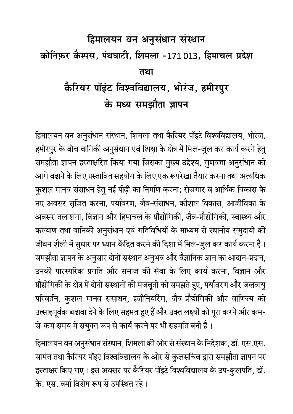## हिमालयन वन अनुसंधान संस्थान कोनिफ़र कैम्पस, पंथघाटी, शिमला -171 013, हिमाचल प्रदेश तथा कैरियर पॉइंट विश्वविद्यालय, भोरंज, हमीरपुर के मध्य समझौता ज्ञापन

हिमालयन वन अनुसंधान संस्थान, शिमला तथा कैरियर पॉइटं विश्वविद्यालय, भोरंज, हमोरपुर के बीच वानिको अनुसंधान एवं शिक्षा के क्षेत्र में मिल-जुल कर कार्य करने हेतु ु समझौता ज्ञापन हस्ताक्षरित किया गया जिसका मुख्य उद्देश्य, गुणवत्ता अनुसंधान को आगे बढ़ाने के लिए प्रस्तावित सहयोग के लिए एक रूपरेखा तैयार करना तथा अत्यधिक कुशल मानव संसाधन हेतु नई पीढ़ी का निर्माण करना; रोजगार व आर्थिक विकास के नए अवसर सृजित करना, पर्यावरण, जैव-संसाधन, कौशल विकास, आजीविका के अवसर तलाशना, विज्ञान और हिमाचल के प्रौद्योगिकी, जैव-प्रौद्योगिकी, स्वास्थ्य और कल्याण तथा वानिकी अनुसंधान एवं गतिविधियों के माध्यम से स्थानीय समुदायों की जीवन शैली में सुधार पर ध्यान केंद्रित करने की दिशा में मिल-जुल कर कार्य करना है। समझौता ज्ञापन के अनुसार दोनों संस्थान अनुभव और वैज्ञानिक ज्ञान का आदान-प्रदान, उनकी पारस्परिक प्रगति और समाज की सेवा के लिए कार्य करना, विज्ञान और प्रौद्योगिकी के क्षेत्र में दोनों संस्थानों की मजबूती को समझते हुए, पर्यावरण और जलवायु परिवर्तन, कुशल मानव संसाधन, इजीनियरिंग, जैव-प्रौद्योगिकी और वाणिज्य को उत्साहपूर्वक बढ़ावा देने के लिए सहमत हुए हैं और उक्त लक्ष्यों को पूरा करने और कम-से-कम समय में संयुक्त रूप से कार्य करने पर भी सहमति बनो है ।

हिमालयन वन अनुसंधान संस्थान, शिमला की ओर से संस्थान के निदेशक, डॉ. एस.एस. सामंत तथा कैरियर पॉइट विश्वविद्यालय के ओर से कुलसचिव द्वारा समझौता ज्ञापन पर हस्ताक्षर किए गए। इस अवसर पर कैरियर पॉइंट विश्वविद्यालय के उप-कुलपति, डॉ. के. एस. वर्मा विशेष रूप से उपस्थित रहे।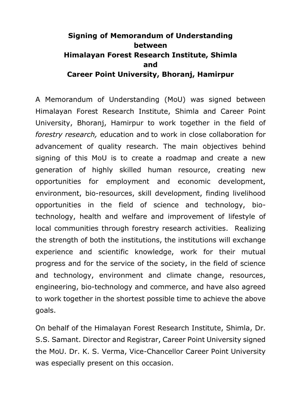## **Signing of Memorandum of Understanding between Himalayan Forest Research Institute, Shimla and Career Point University, Bhoranj, Hamirpur**

A Memorandum of Understanding (MoU) was signed between Himalayan Forest Research Institute, Shimla and Career Point University, Bhoranj, Hamirpur to work together in the field of *forestry research,* education and to work in close collaboration for advancement of quality research. The main objectives behind signing of this MoU is to create a roadmap and create a new generation of highly skilled human resource, creating new opportunities for employment and economic development, environment, bio-resources, skill development, finding livelihood opportunities in the field of science and technology, biotechnology, health and welfare and improvement of lifestyle of local communities through forestry research activities. Realizing the strength of both the institutions, the institutions will exchange experience and scientific knowledge, work for their mutual progress and for the service of the society, in the field of science and technology, environment and climate change, resources, engineering, bio-technology and commerce, and have also agreed to work together in the shortest possible time to achieve the above goals.

On behalf of the Himalayan Forest Research Institute, Shimla, Dr. S.S. Samant. Director and Registrar, Career Point University signed the MoU. Dr. K. S. Verma, Vice-Chancellor Career Point University was especially present on this occasion.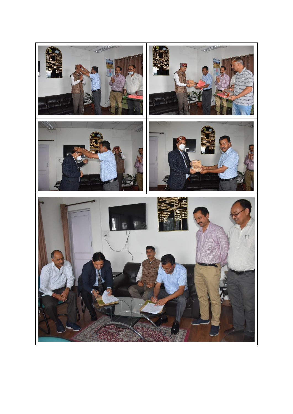